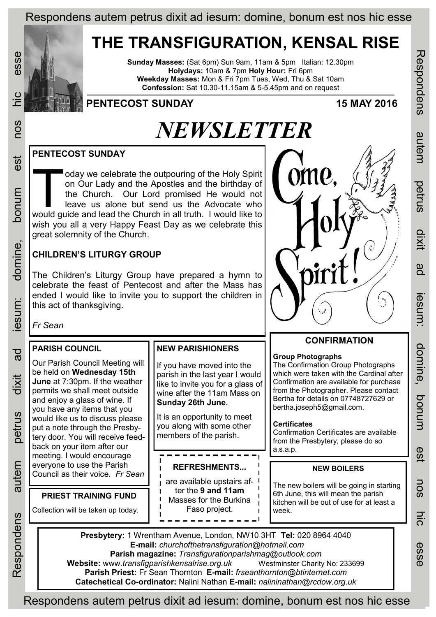### Respondens autem petrus dixit ad iesum: domine, bonum est nos hic esse

## **THE TRANSFIGURATION, KENSAL RISE**

**Sunday Masses:** (Sat 6pm) Sun 9am, 11am & 5pm Italian: 12.30pm **Holydays:** 10am & 7pm **Holy Hour:** Fri 6pm **Weekday Masses:** Mon & Fri 7pm Tues, Wed, Thu & Sat 10am **Confession:** Sat 10.30-11.15am & 5-5.45pm and on request



est

munod

domine,

esum:

 $\overline{a}$ 

dixit

oetrus

autem

Respondens

### **PENTECOST SUNDAY 15 MAY 2016**

# *NEWSLETTER*

### **PENTECOST SUNDAY**

T would guide and lead the Church in all truth. I would like to oday we celebrate the outpouring of the Holy Spirit on Our Lady and the Apostles and the birthday of the Church. Our Lord promised He would not leave us alone but send us the Advocate who wish you all a very Happy Feast Day as we celebrate this great solemnity of the Church.

### **CHILDREN'S LITURGY GROUP**

**PRIEST TRAINING FUND**

The Children's Liturgy Group have prepared a hymn to celebrate the feast of Pentecost and after the Mass has ended I would like to invite you to support the children in this act of thanksgiving.



### **CONFIRMATION**

**Group Photographs**

The Confirmation Group Photographs which were taken with the Cardinal after Confirmation are available for purchase from the Photographer. Please contact Bertha for details on 07748727629 or bertha.joseph5@gmail.com.

### **Certificates**

Confirmation Certificates are available from the Presbytery, please do so a.s.a.p.

## everyone to use the Parish **Network of ALERT REFRESHMENTS... NEW BOILERS**<br>Council as their voice. Fr Sean **Network**

The new boilers will be going in starting 6th June, this will mean the parish kitchen will be out of use for at least a week.

**Presbytery:** 1 Wrentham Avenue, London, NW10 3HT **Tel:** 020 8964 4040 **E-mail:** *churchofthetransfiguration@hotmail.com*  **Parish magazine:** *Transfigurationparishmag@outlook.com*  **Website:** www.*transfigparishkensalrise.org.uk* Westminster Charity No: 233699 **Parish Priest:** Fr Sean Thornton **E-mail:** *frseanthornton@btinternet.com*  **Catechetical Co-ordinator:** Nalini Nathan **E-mail:** *nalininathan@rcdow.org.uk* 

**REFRESHMENTS...** are available upstairs after the **9 and 11am**  Masses for the Burkina Faso project.

------

**NEW PARISHIONERS**

**Sunday 26th June**.

If you have moved into the parish in the last year I would like to invite you for a glass of wine after the 11am Mass on

It is an opportunity to meet you along with some other members of the parish.

Respondens autem petrus dixit ad iesum: domine, bonum est nos hic esse

**Iesum** 

domine,

ponun

est

**NOS** 

hic

esse

Respondens

autem

petrus

dixit

ad

Respondens autem petrus dixit ad iesum: domine, bonum est nos hic esse